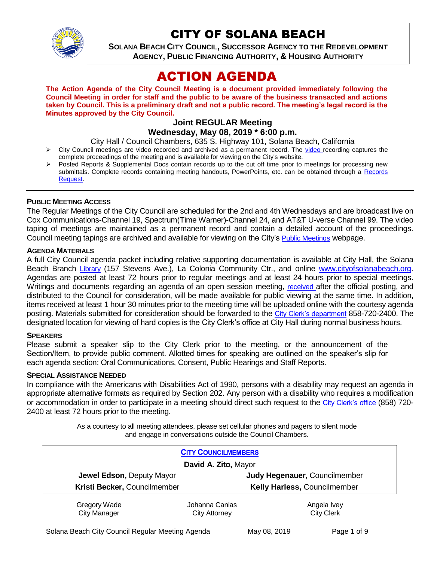

# CITY OF SOLANA BEACH

**SOLANA BEACH CITY COUNCIL, SUCCESSOR AGENCY TO THE REDEVELOPMENT AGENCY, PUBLIC FINANCING AUTHORITY, & HOUSING AUTHORITY** 

# ACTION AGENDA

**The Action Agenda of the City Council Meeting is a document provided immediately following the Council Meeting in order for staff and the public to be aware of the business transacted and actions taken by Council. This is a preliminary draft and not a public record. The meeting's legal record is the Minutes approved by the City Council.**

# **Joint REGULAR Meeting Wednesday, May 08, 2019 \* 6:00 p.m.**

City Hall / Council Chambers, 635 S. Highway 101, Solana Beach, California

- $\triangleright$  City Council meetings are [video r](https://solanabeach.12milesout.com/#page=1)ecorded and archived as a permanent record. The video recording captures the complete proceedings of the meeting and is available for viewing on the City's website.
- Posted Reports & Supplemental Docs contain records up to the cut off time prior to meetings for processing new submittals. Complete records containing meeting handouts, PowerPoints, etc. can be obtained through a Records [Request.](http://www.ci.solana-beach.ca.us/index.asp?SEC=F5D45D10-70CE-4291-A27C-7BD633FC6742&Type=B_BASIC)

# **PUBLIC MEETING ACCESS**

The Regular Meetings of the City Council are scheduled for the 2nd and 4th Wednesdays and are broadcast live on Cox Communications-Channel 19, Spectrum(Time Warner)-Channel 24, and AT&T U-verse Channel 99. The video taping of meetings are maintained as a permanent record and contain a detailed account of the proceedings. Council meeting tapings are archived and available for viewing on the City's [Public Meetings](https://www.ci.solana-beach.ca.us/index.asp?SEC=F0F1200D-21C6-4A88-8AE1-0BC07C1A81A7&Type=B_BASIC) webpage.

#### **AGENDA MATERIALS**

A full City Council agenda packet including relative supporting documentation is available at City Hall, the Solana Beach Branch [Library](http://www.sdcl.org/locations_SB.html) (157 Stevens Ave.), La Colonia Community Ctr., and online [www.cityofsolanabeach.org.](http://www.cityofsolanabeach.org/) Agendas are posted at least 72 hours prior to regular meetings and at least 24 hours prior to special meetings. Writings and documents regarding an agenda of an open session meeting, [received](mailto:EMAILGRP-CityClerksOfc@cosb.org) after the official posting, and distributed to the Council for consideration, will be made available for public viewing at the same time. In addition, items received at least 1 hour 30 minutes prior to the meeting time will be uploaded online with the courtesy agenda posting. Materials submitted for consideration should be forwarded to the [City Clerk's department](mailto:EMAILGRP-CityClerksOfc@cosb.org) 858-720-2400. The designated location for viewing of hard copies is the City Clerk's office at City Hall during normal business hours.

#### **SPEAKERS**

Please submit a speaker slip to the City Clerk prior to the meeting, or the announcement of the Section/Item, to provide public comment. Allotted times for speaking are outlined on the speaker's slip for each agenda section: Oral Communications, Consent, Public Hearings and Staff Reports.

#### **SPECIAL ASSISTANCE NEEDED**

In compliance with the Americans with Disabilities Act of 1990, persons with a disability may request an agenda in appropriate alternative formats as required by Section 202. Any person with a disability who requires a modification or accommodation in order to participate in a meeting should direct such request to the [City Clerk's](mailto:clerkadmin@cosb.org?subject=City%20Clerk%20Notice%20of%20Special%20Services%20Needed) office (858) 720- 2400 at least 72 hours prior to the meeting.

> As a courtesy to all meeting attendees, please set cellular phones and pagers to silent mode and engage in conversations outside the Council Chambers.

|                              | <b>CITY COUNCILMEMBERS</b> |                               |  |
|------------------------------|----------------------------|-------------------------------|--|
| David A. Zito, Mayor         |                            |                               |  |
| Jewel Edson, Deputy Mayor    |                            | Judy Hegenauer, Councilmember |  |
| Kristi Becker, Councilmember |                            | Kelly Harless, Councilmember  |  |
| Gregory Wade                 | Johanna Canlas             | Angela Ivey                   |  |
| <b>City Manager</b>          | City Attorney              | <b>City Clerk</b>             |  |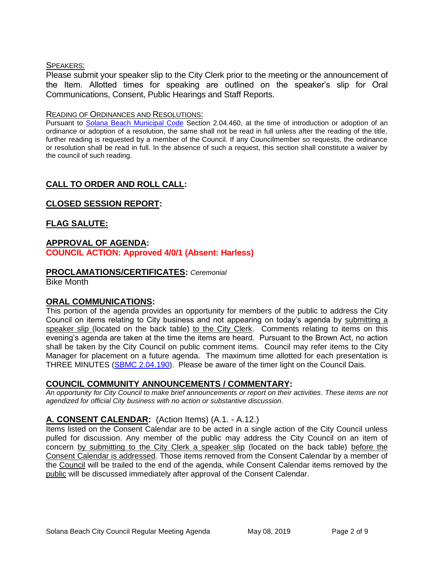#### SPEAKERS:

Please submit your speaker slip to the City Clerk prior to the meeting or the announcement of the Item. Allotted times for speaking are outlined on the speaker's slip for Oral Communications, Consent, Public Hearings and Staff Reports.

#### READING OF ORDINANCES AND RESOLUTIONS:

Pursuant to [Solana Beach Municipal Code](mailto:https://www.codepublishing.com/CA/SolanaBeach/) Section 2.04.460, at the time of introduction or adoption of an ordinance or adoption of a resolution, the same shall not be read in full unless after the reading of the title, further reading is requested by a member of the Council. If any Councilmember so requests, the ordinance or resolution shall be read in full. In the absence of such a request, this section shall constitute a waiver by the council of such reading.

# **CALL TO ORDER AND ROLL CALL:**

# **CLOSED SESSION REPORT:**

# **FLAG SALUTE:**

# **APPROVAL OF AGENDA:**

**COUNCIL ACTION: Approved 4/0/1 (Absent: Harless)**

# **PROCLAMATIONS/CERTIFICATES:** *Ceremonial*

Bike Month

# **ORAL COMMUNICATIONS:**

This portion of the agenda provides an opportunity for members of the public to address the City Council on items relating to City business and not appearing on today's agenda by submitting a speaker slip (located on the back table) to the City Clerk. Comments relating to items on this evening's agenda are taken at the time the items are heard. Pursuant to the Brown Act, no action shall be taken by the City Council on public comment items. Council may refer items to the City Manager for placement on a future agenda. The maximum time allotted for each presentation is THREE MINUTES (SBMC [2.04.190\)](https://www.codepublishing.com/CA/SolanaBeach/#!/SolanaBeach02/SolanaBeach0204.html). Please be aware of the timer light on the Council Dais.

# **COUNCIL COMMUNITY ANNOUNCEMENTS / COMMENTARY:**

*An opportunity for City Council to make brief announcements or report on their activities. These items are not agendized for official City business with no action or substantive discussion.* 

# **A. CONSENT CALENDAR:** (Action Items) (A.1. - A.12.)

Items listed on the Consent Calendar are to be acted in a single action of the City Council unless pulled for discussion. Any member of the public may address the City Council on an item of concern by submitting to the City Clerk a speaker slip (located on the back table) before the Consent Calendar is addressed. Those items removed from the Consent Calendar by a member of the Council will be trailed to the end of the agenda, while Consent Calendar items removed by the public will be discussed immediately after approval of the Consent Calendar.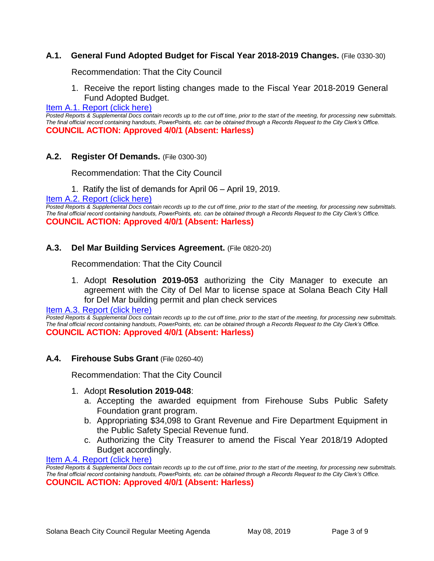# **A.1. General Fund Adopted Budget for Fiscal Year 2018-2019 Changes.** (File 0330-30)

Recommendation: That the City Council

1. Receive the report listing changes made to the Fiscal Year 2018-2019 General Fund Adopted Budget.

#### [Item A.1. Report \(click here\)](https://solanabeach.govoffice3.com/vertical/Sites/%7B840804C2-F869-4904-9AE3-720581350CE7%7D/uploads/Item_A.1._Report_(click_here)_05-08-19_-_O.pdf)

*Posted Reports & Supplemental Docs contain records up to the cut off time, prior to the start of the meeting, for processing new submittals. The final official record containing handouts, PowerPoints, etc. can be obtained through a Records Request to the City Clerk's Office.* **COUNCIL ACTION: Approved 4/0/1 (Absent: Harless)**

# **A.2. Register Of Demands.** (File 0300-30)

Recommendation: That the City Council

1. Ratify the list of demands for April 06 – April 19, 2019.

[Item A.2. Report \(click here\)](https://solanabeach.govoffice3.com/vertical/Sites/%7B840804C2-F869-4904-9AE3-720581350CE7%7D/uploads/Item_A.2._Report_(click_here)_05-08-19_-_O.pdf) 

*Posted Reports & Supplemental Docs contain records up to the cut off time, prior to the start of the meeting, for processing new submittals. The final official record containing handouts, PowerPoints, etc. can be obtained through a Records Request to the City Clerk's Office.* **COUNCIL ACTION: Approved 4/0/1 (Absent: Harless)**

# **A.3. Del Mar Building Services Agreement.** (File 0820-20)

Recommendation: That the City Council

1. Adopt **Resolution 2019-053** authorizing the City Manager to execute an agreement with the City of Del Mar to license space at Solana Beach City Hall for Del Mar building permit and plan check services

Item A.3. [Report \(click here\)](https://solanabeach.govoffice3.com/vertical/Sites/%7B840804C2-F869-4904-9AE3-720581350CE7%7D/uploads/Item_A.3._Report_(click_here)_05-08-19_-_O.pdf) 

*Posted Reports & Supplemental Docs contain records up to the cut off time, prior to the start of the meeting, for processing new submittals. The final official record containing handouts, PowerPoints, etc. can be obtained through a Records Request to the City Clerk's Office.* **COUNCIL ACTION: Approved 4/0/1 (Absent: Harless)**

#### **A.4. Firehouse Subs Grant** (File 0260-40)

Recommendation: That the City Council

#### 1. Adopt **Resolution 2019-048**:

- a. Accepting the awarded equipment from Firehouse Subs Public Safety Foundation grant program.
- b. Appropriating \$34,098 to Grant Revenue and Fire Department Equipment in the Public Safety Special Revenue fund.
- c. Authorizing the City Treasurer to amend the Fiscal Year 2018/19 Adopted Budget accordingly.

[Item A.4. Report \(click here\)](https://solanabeach.govoffice3.com/vertical/Sites/%7B840804C2-F869-4904-9AE3-720581350CE7%7D/uploads/Item_A.4._Report_(click_here)_05-08-19_-_O.pdf) 

*Posted Reports & Supplemental Docs contain records up to the cut off time, prior to the start of the meeting, for processing new submittals. The final official record containing handouts, PowerPoints, etc. can be obtained through a Records Request to the City Clerk's Office.* **COUNCIL ACTION: Approved 4/0/1 (Absent: Harless)**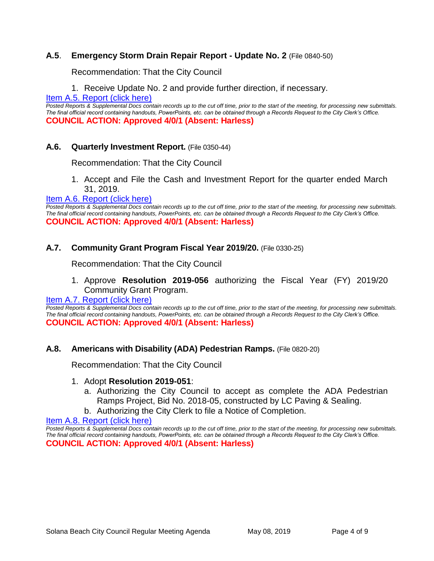# **A.5**. **Emergency Storm Drain Repair Report - Update No. 2** (File 0840-50)

Recommendation: That the City Council

1. Receive Update No. 2 and provide further direction, if necessary.

[Item A.5. Report \(click here\)](https://solanabeach.govoffice3.com/vertical/Sites/%7B840804C2-F869-4904-9AE3-720581350CE7%7D/uploads/Item_A.5._Report_(click_here)_05-08-19_-_O.pdf) 

*Posted Reports & Supplemental Docs contain records up to the cut off time, prior to the start of the meeting, for processing new submittals. The final official record containing handouts, PowerPoints, etc. can be obtained through a Records Request to the City Clerk's Office.* **COUNCIL ACTION: Approved 4/0/1 (Absent: Harless)**

# **A.6. Quarterly Investment Report.** (File 0350-44)

Recommendation: That the City Council

1. Accept and File the Cash and Investment Report for the quarter ended March 31, 2019.

#### [Item A.6. Report \(click here\)](https://solanabeach.govoffice3.com/vertical/Sites/%7B840804C2-F869-4904-9AE3-720581350CE7%7D/uploads/Item_A.6._Report_(click_here)_05-08-19_-_O.pdf)

*Posted Reports & Supplemental Docs contain records up to the cut off time, prior to the start of the meeting, for processing new submittals. The final official record containing handouts, PowerPoints, etc. can be obtained through a Records Request to the City Clerk's Office.* **COUNCIL ACTION: Approved 4/0/1 (Absent: Harless)**

# **A.7. Community Grant Program Fiscal Year 2019/20.** (File 0330-25)

Recommendation: That the City Council

1. Approve **Resolution 2019-056** authorizing the Fiscal Year (FY) 2019/20 Community Grant Program.

## [Item A.7. Report \(click here\)](https://solanabeach.govoffice3.com/vertical/Sites/%7B840804C2-F869-4904-9AE3-720581350CE7%7D/uploads/Item_A.7._Report_(click_here)_05-08-19_-_O.pdf)

*Posted Reports & Supplemental Docs contain records up to the cut off time, prior to the start of the meeting, for processing new submittals. The final official record containing handouts, PowerPoints, etc. can be obtained through a Records Request to the City Clerk's Office.* **COUNCIL ACTION: Approved 4/0/1 (Absent: Harless)**

#### **A.8. Americans with Disability (ADA) Pedestrian Ramps.** (File 0820-20)

Recommendation: That the City Council

#### 1. Adopt **Resolution 2019-051**:

- a. Authorizing the City Council to accept as complete the ADA Pedestrian Ramps Project, Bid No. 2018-05, constructed by LC Paving & Sealing.
- b. Authorizing the City Clerk to file a Notice of Completion.

[Item A.8. Report \(click here\)](https://solanabeach.govoffice3.com/vertical/Sites/%7B840804C2-F869-4904-9AE3-720581350CE7%7D/uploads/Item_A.8._Report_(click_here)_05-08-19_-_O.pdf) 

*Posted Reports & Supplemental Docs contain records up to the cut off time, prior to the start of the meeting, for processing new submittals. The final official record containing handouts, PowerPoints, etc. can be obtained through a Records Request to the City Clerk's Office.* **COUNCIL ACTION: Approved 4/0/1 (Absent: Harless)**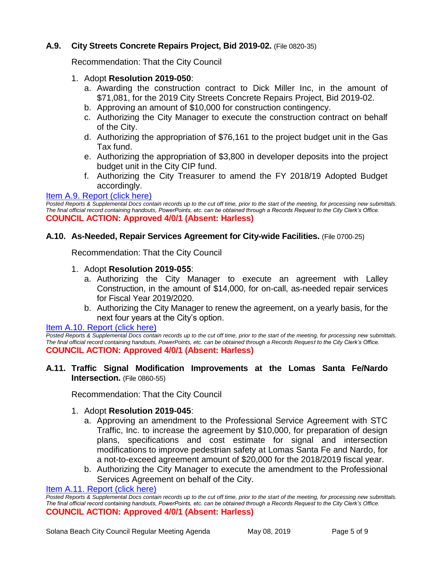# **A.9. City Streets Concrete Repairs Project, Bid 2019-02.** (File 0820-35)

Recommendation: That the City Council

# 1. Adopt **Resolution 2019-050**:

- a. Awarding the construction contract to Dick Miller Inc, in the amount of \$71,081, for the 2019 City Streets Concrete Repairs Project, Bid 2019-02.
- b. Approving an amount of \$10,000 for construction contingency.
- c. Authorizing the City Manager to execute the construction contract on behalf of the City.
- d. Authorizing the appropriation of \$76,161 to the project budget unit in the Gas Tax fund.
- e. Authorizing the appropriation of \$3,800 in developer deposits into the project budget unit in the City CIP fund.
- f. Authorizing the City Treasurer to amend the FY 2018/19 Adopted Budget accordingly.

# [Item A.9. Report \(click here\)](https://solanabeach.govoffice3.com/vertical/Sites/%7B840804C2-F869-4904-9AE3-720581350CE7%7D/uploads/Item_A.9._Report_(click_here)_05-08-19_-_O.pdf)

*Posted Reports & Supplemental Docs contain records up to the cut off time, prior to the start of the meeting, for processing new submittals. The final official record containing handouts, PowerPoints, etc. can be obtained through a Records Request to the City Clerk's Office.* **COUNCIL ACTION: Approved 4/0/1 (Absent: Harless)**

# **A.10. As-Needed, Repair Services Agreement for City-wide Facilities.** (File 0700-25)

Recommendation: That the City Council

- 1. Adopt **Resolution 2019-055**:
	- a. Authorizing the City Manager to execute an agreement with Lalley Construction, in the amount of \$14,000, for on-call, as-needed repair services for Fiscal Year 2019/2020.
	- b. Authorizing the City Manager to renew the agreement, on a yearly basis, for the next four years at the City's option.

#### [Item A.10. Report \(click here\)](https://solanabeach.govoffice3.com/vertical/Sites/%7B840804C2-F869-4904-9AE3-720581350CE7%7D/uploads/Item_A.10._Report_(click_here)_05-08-19_-_O.pdf)

*Posted Reports & Supplemental Docs contain records up to the cut off time, prior to the start of the meeting, for processing new submittals. The final official record containing handouts, PowerPoints, etc. can be obtained through a Records Request to the City Clerk's Office.* **COUNCIL ACTION: Approved 4/0/1 (Absent: Harless)**

# **A.11. Traffic Signal Modification Improvements at the Lomas Santa Fe/Nardo Intersection.** (File 0860-55)

Recommendation: That the City Council

# 1. Adopt **Resolution 2019-045**:

- a. Approving an amendment to the Professional Service Agreement with STC Traffic, Inc. to increase the agreement by \$10,000, for preparation of design plans, specifications and cost estimate for signal and intersection modifications to improve pedestrian safety at Lomas Santa Fe and Nardo, for a not-to-exceed agreement amount of \$20,000 for the 2018/2019 fiscal year.
- b. Authorizing the City Manager to execute the amendment to the Professional Services Agreement on behalf of the City.

#### [Item A.11. Report \(click here\)](https://solanabeach.govoffice3.com/vertical/Sites/%7B840804C2-F869-4904-9AE3-720581350CE7%7D/uploads/Item_A.11._Report_(click_here)_05-08-19_-_O.pdf)

*Posted Reports & Supplemental Docs contain records up to the cut off time, prior to the start of the meeting, for processing new submittals. The final official record containing handouts, PowerPoints, etc. can be obtained through a Records Request to the City Clerk's Office.* **COUNCIL ACTION: Approved 4/0/1 (Absent: Harless)**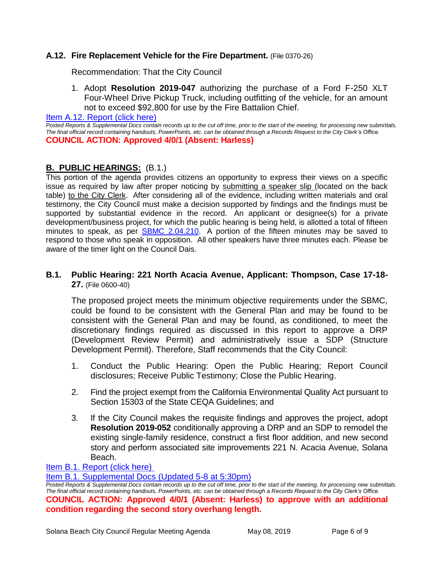# **A.12. Fire Replacement Vehicle for the Fire Department.** (File 0370-26)

Recommendation: That the City Council

1. Adopt **Resolution 2019-047** authorizing the purchase of a Ford F-250 XLT Four-Wheel Drive Pickup Truck, including outfitting of the vehicle, for an amount not to exceed \$92,800 for use by the Fire Battalion Chief.

[Item A.12. Report \(click here\)](https://solanabeach.govoffice3.com/vertical/Sites/%7B840804C2-F869-4904-9AE3-720581350CE7%7D/uploads/Item_A.12._Report_(click_here)_05-08-19_-_O.pdf) 

*Posted Reports & Supplemental Docs contain records up to the cut off time, prior to the start of the meeting, for processing new submittals. The final official record containing handouts, PowerPoints, etc. can be obtained through a Records Request to the City Clerk's Office.* **COUNCIL ACTION: Approved 4/0/1 (Absent: Harless)**

# **B. PUBLIC HEARINGS:** (B.1.)

This portion of the agenda provides citizens an opportunity to express their views on a specific issue as required by law after proper noticing by submitting a speaker slip (located on the back table) to the City Clerk. After considering all of the evidence, including written materials and oral testimony, the City Council must make a decision supported by findings and the findings must be supported by substantial evidence in the record. An applicant or designee(s) for a private development/business project, for which the public hearing is being held, is allotted a total of fifteen minutes to speak, as per [SBMC 2.04.210.](https://www.codepublishing.com/CA/SolanaBeach/#!/SolanaBeach02/SolanaBeach0204.html) A portion of the fifteen minutes may be saved to respond to those who speak in opposition. All other speakers have three minutes each. Please be aware of the timer light on the Council Dais.

# **B.1. Public Hearing: 221 North Acacia Avenue, Applicant: Thompson, Case 17-18- 27.** (File 0600-40)

The proposed project meets the minimum objective requirements under the SBMC, could be found to be consistent with the General Plan and may be found to be consistent with the General Plan and may be found, as conditioned, to meet the discretionary findings required as discussed in this report to approve a DRP (Development Review Permit) and administratively issue a SDP (Structure Development Permit). Therefore, Staff recommends that the City Council:

- 1. Conduct the Public Hearing: Open the Public Hearing; Report Council disclosures; Receive Public Testimony; Close the Public Hearing.
- 2. Find the project exempt from the California Environmental Quality Act pursuant to Section 15303 of the State CEQA Guidelines; and
- 3. If the City Council makes the requisite findings and approves the project, adopt **Resolution 2019-052** conditionally approving a DRP and an SDP to remodel the existing single-family residence, construct a first floor addition, and new second story and perform associated site improvements 221 N. Acacia Avenue, Solana Beach.

[Item B.1. Report \(click here\)](https://solanabeach.govoffice3.com/vertical/Sites/%7B840804C2-F869-4904-9AE3-720581350CE7%7D/uploads/Item_B.1._Report_(click_here)_05-08-19_-_O.pdf) 

[Item B.1. Supplemental Docs \(Updated 5-8 at 5:30pm\)](https://solanabeach.govoffice3.com/vertical/Sites/%7B840804C2-F869-4904-9AE3-720581350CE7%7D/uploads/Item_B.1._Supplemental_Docs_(Updated_5-8)_-_O.pdf)

*Posted Reports & Supplemental Docs contain records up to the cut off time, prior to the start of the meeting, for processing new submittals. The final official record containing handouts, PowerPoints, etc. can be obtained through a Records Request to the City Clerk's Office.* **COUNCIL ACTION: Approved 4/0/1 (Absent: Harless) to approve with an additional condition regarding the second story overhang length.**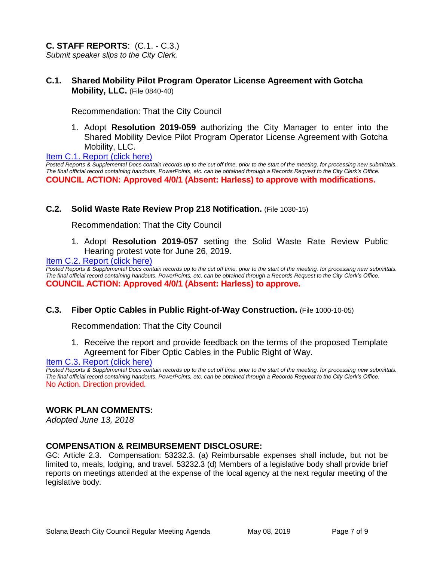# **C. STAFF REPORTS**: (C.1. - C.3.)

*Submit speaker slips to the City Clerk.*

# **C.1. Shared Mobility Pilot Program Operator License Agreement with Gotcha Mobility, LLC.** (File 0840-40)

Recommendation: That the City Council

1. Adopt **Resolution 2019-059** authorizing the City Manager to enter into the Shared Mobility Device Pilot Program Operator License Agreement with Gotcha Mobility, LLC.

Item C.1. Report (click here)

*Posted Reports & Supplemental Docs contain records up to the cut off time, prior to the start of the meeting, for processing new submittals. The final official record containing handouts, PowerPoints, etc. can be obtained through a Records Request to the City Clerk's Office.* **COUNCIL ACTION: Approved 4/0/1 (Absent: Harless) to approve with modifications.** 

# **C.2. Solid Waste Rate Review Prop 218 Notification.** (File 1030-15)

Recommendation: That the City Council

1. Adopt **Resolution 2019-057** setting the Solid Waste Rate Review Public Hearing protest vote for June 26, 2019.

[Item C.2. Report \(click here\)](https://solanabeach.govoffice3.com/vertical/Sites/%7B840804C2-F869-4904-9AE3-720581350CE7%7D/uploads/Item_C.2._Report_(click_here)_05-08-19_-_O.pdf) 

Posted Reports & Supplemental Docs contain records up to the cut off time, prior to the start of the meeting, for processing new submittals. *The final official record containing handouts, PowerPoints, etc. can be obtained through a Records Request to the City Clerk's Office.* **COUNCIL ACTION: Approved 4/0/1 (Absent: Harless) to approve.** 

#### **C.3. Fiber Optic Cables in Public Right-of-Way Construction.** (File 1000-10-05)

Recommendation: That the City Council

1. Receive the report and provide feedback on the terms of the proposed Template Agreement for Fiber Optic Cables in the Public Right of Way.

#### [Item C.3. Report \(click here\)](https://solanabeach.govoffice3.com/vertical/Sites/%7B840804C2-F869-4904-9AE3-720581350CE7%7D/uploads/Item_C.3._Report_(click_here)_05-08-19_-_O.pdf)

Posted Reports & Supplemental Docs contain records up to the cut off time, prior to the start of the meeting, for processing new submittals. *The final official record containing handouts, PowerPoints, etc. can be obtained through a Records Request to the City Clerk's Office.* No Action. Direction provided.

#### **WORK PLAN COMMENTS:**

*Adopted June 13, 2018*

#### **COMPENSATION & REIMBURSEMENT DISCLOSURE:**

GC: Article 2.3. Compensation: 53232.3. (a) Reimbursable expenses shall include, but not be limited to, meals, lodging, and travel. 53232.3 (d) Members of a legislative body shall provide brief reports on meetings attended at the expense of the local agency at the next regular meeting of the legislative body.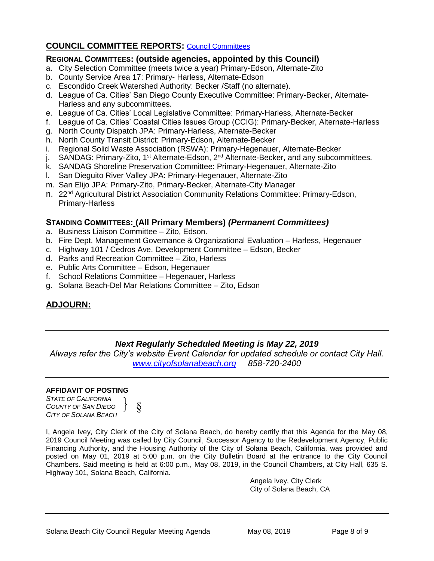# **COUNCIL COMMITTEE REPORTS:** [Council Committees](https://www.ci.solana-beach.ca.us/index.asp?SEC=584E1192-3850-46EA-B977-088AC3E81E0D&Type=B_BASIC)

## **REGIONAL COMMITTEES: (outside agencies, appointed by this Council)**

- a. City Selection Committee (meets twice a year) Primary-Edson, Alternate-Zito
- b. County Service Area 17: Primary- Harless, Alternate-Edson
- c. Escondido Creek Watershed Authority: Becker /Staff (no alternate).
- d. League of Ca. Cities' San Diego County Executive Committee: Primary-Becker, Alternate-Harless and any subcommittees.
- e. League of Ca. Cities' Local Legislative Committee: Primary-Harless, Alternate-Becker
- f. League of Ca. Cities' Coastal Cities Issues Group (CCIG): Primary-Becker, Alternate-Harless
- g. North County Dispatch JPA: Primary-Harless, Alternate-Becker
- h. North County Transit District: Primary-Edson, Alternate-Becker
- i. Regional Solid Waste Association (RSWA): Primary-Hegenauer, Alternate-Becker
- j. SANDAG: Primary-Zito, 1<sup>st</sup> Alternate-Edson, 2<sup>nd</sup> Alternate-Becker, and any subcommittees.
- k. SANDAG Shoreline Preservation Committee: Primary-Hegenauer, Alternate-Zito
- l. San Dieguito River Valley JPA: Primary-Hegenauer, Alternate-Zito
- m. San Elijo JPA: Primary-Zito, Primary-Becker, Alternate-City Manager
- n. 22<sup>nd</sup> Agricultural District Association Community Relations Committee: Primary-Edson, Primary-Harless

#### **STANDING COMMITTEES: (All Primary Members)** *(Permanent Committees)*

- a. Business Liaison Committee Zito, Edson.
- b. Fire Dept. Management Governance & Organizational Evaluation Harless, Hegenauer
- c. Highway 101 / Cedros Ave. Development Committee Edson, Becker
- d. Parks and Recreation Committee Zito, Harless
- e. Public Arts Committee Edson, Hegenauer
- f. School Relations Committee Hegenauer, Harless
- g. Solana Beach-Del Mar Relations Committee Zito, Edson

# **ADJOURN:**

# *Next Regularly Scheduled Meeting is May 22, 2019*

*Always refer the City's website Event Calendar for updated schedule or contact City Hall. [www.cityofsolanabeach.org](http://www.cityofsolanabeach.org/) 858-720-2400*

#### **AFFIDAVIT OF POSTING**

*STATE OF CALIFORNIA COUNTY OF SAN DIEGO CITY OF SOLANA BEACH*



I, Angela Ivey, City Clerk of the City of Solana Beach, do hereby certify that this Agenda for the May 08, 2019 Council Meeting was called by City Council, Successor Agency to the Redevelopment Agency, Public Financing Authority, and the Housing Authority of the City of Solana Beach, California, was provided and posted on May 01, 2019 at 5:00 p.m. on the City Bulletin Board at the entrance to the City Council Chambers. Said meeting is held at 6:00 p.m., May 08, 2019, in the Council Chambers, at City Hall, 635 S. Highway 101, Solana Beach, California.

> Angela Ivey, City Clerk City of Solana Beach, CA